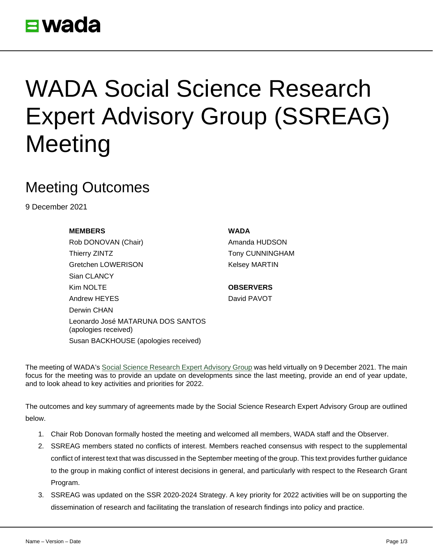

## WADA Social Science Research Expert Advisory Group (SSREAG) **Meeting**

## Meeting Outcomes

9 December 2021

## **MEMBERS WADA**

Rob DONOVAN (Chair) **Amanda HUDSON** Thierry ZINTZ **Thierry ZINTZ** Tony CUNNINGHAM Gretchen LOWERISON Kelsey MARTIN Sian CLANCY Kim NOLTE **OBSERVERS** Andrew HEYES David PAVOT Derwin CHAN Leonardo José MATARUNA DOS SANTOS (apologies received) Susan BACKHOUSE (apologies received)

The meeting of WADA's [Social Science Research Expert Advisory Group](https://www.wada-ama.org/en/who-we-are/governance/social-science-expert-advisory-group) was held virtually on 9 December 2021. The main focus for the meeting was to provide an update on developments since the last meeting, provide an end of year update, and to look ahead to key activities and priorities for 2022.

The outcomes and key summary of agreements made by the Social Science Research Expert Advisory Group are outlined below.

- 1. Chair Rob Donovan formally hosted the meeting and welcomed all members, WADA staff and the Observer.
- 2. SSREAG members stated no conflicts of interest. Members reached consensus with respect to the supplemental conflict of interest text that was discussed in the September meeting of the group. This text provides further guidance to the group in making conflict of interest decisions in general, and particularly with respect to the Research Grant Program.
- 3. SSREAG was updated on the SSR 2020-2024 Strategy. A key priority for 2022 activities will be on supporting the dissemination of research and facilitating the translation of research findings into policy and practice.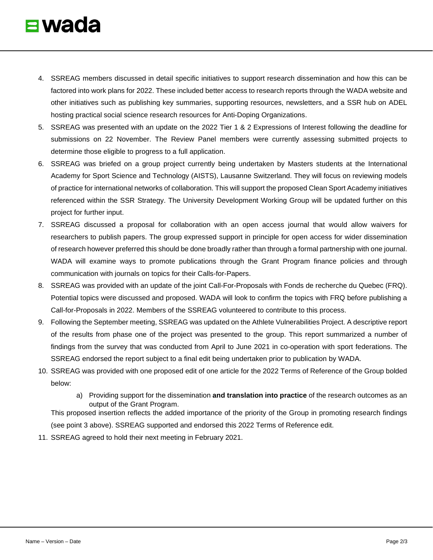- 4. SSREAG members discussed in detail specific initiatives to support research dissemination and how this can be factored into work plans for 2022. These included better access to research reports through the WADA website and other initiatives such as publishing key summaries, supporting resources, newsletters, and a SSR hub on ADEL hosting practical social science research resources for Anti-Doping Organizations.
- 5. SSREAG was presented with an update on the 2022 Tier 1 & 2 Expressions of Interest following the deadline for submissions on 22 November. The Review Panel members were currently assessing submitted projects to determine those eligible to progress to a full application.
- 6. SSREAG was briefed on a group project currently being undertaken by Masters students at the International Academy for Sport Science and Technology (AISTS), Lausanne Switzerland. They will focus on reviewing models of practice for international networks of collaboration. This will support the proposed Clean Sport Academy initiatives referenced within the SSR Strategy. The University Development Working Group will be updated further on this project for further input.
- 7. SSREAG discussed a proposal for collaboration with an open access journal that would allow waivers for researchers to publish papers. The group expressed support in principle for open access for wider dissemination of research however preferred this should be done broadly rather than through a formal partnership with one journal. WADA will examine ways to promote publications through the Grant Program finance policies and through communication with journals on topics for their Calls-for-Papers.
- 8. SSREAG was provided with an update of the joint Call-For-Proposals with Fonds de recherche du Quebec (FRQ). Potential topics were discussed and proposed. WADA will look to confirm the topics with FRQ before publishing a Call-for-Proposals in 2022. Members of the SSREAG volunteered to contribute to this process.
- 9. Following the September meeting, SSREAG was updated on the Athlete Vulnerabilities Project. A descriptive report of the results from phase one of the project was presented to the group. This report summarized a number of findings from the survey that was conducted from April to June 2021 in co-operation with sport federations. The SSREAG endorsed the report subject to a final edit being undertaken prior to publication by WADA.
- 10. SSREAG was provided with one proposed edit of one article for the 2022 Terms of Reference of the Group bolded below:
	- a) Providing support for the dissemination **and translation into practice** of the research outcomes as an output of the Grant Program.

This proposed insertion reflects the added importance of the priority of the Group in promoting research findings (see point 3 above). SSREAG supported and endorsed this 2022 Terms of Reference edit.

11. SSREAG agreed to hold their next meeting in February 2021.